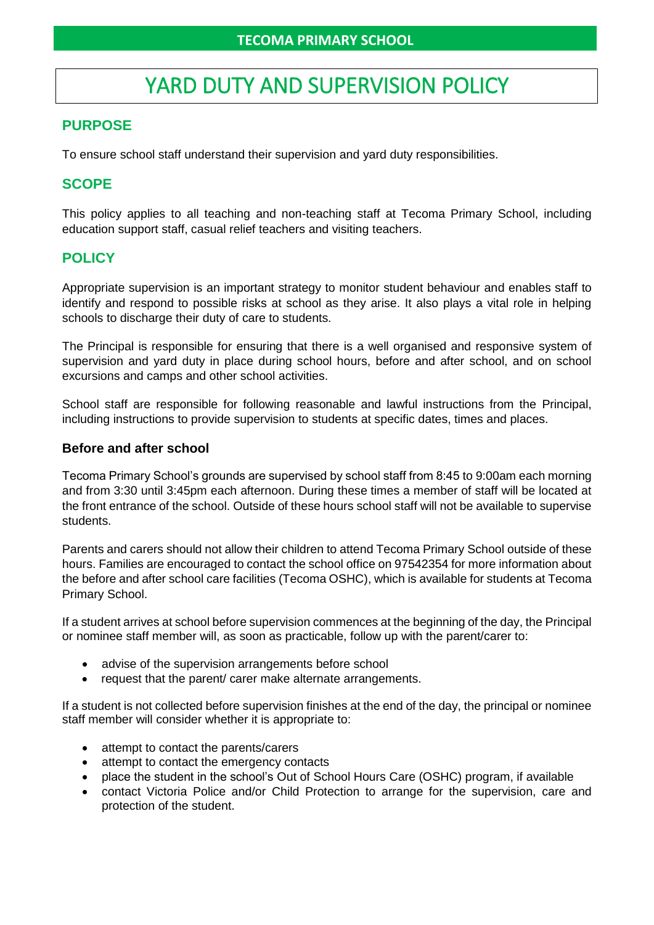# YARD DUTY AND SUPERVISION POLICY

# **PURPOSE**

To ensure school staff understand their supervision and yard duty responsibilities.

# **SCOPE**

This policy applies to all teaching and non-teaching staff at Tecoma Primary School, including education support staff, casual relief teachers and visiting teachers.

# **POLICY**

Appropriate supervision is an important strategy to monitor student behaviour and enables staff to identify and respond to possible risks at school as they arise. It also plays a vital role in helping schools to discharge their duty of care to students.

The Principal is responsible for ensuring that there is a well organised and responsive system of supervision and yard duty in place during school hours, before and after school, and on school excursions and camps and other school activities.

School staff are responsible for following reasonable and lawful instructions from the Principal, including instructions to provide supervision to students at specific dates, times and places.

## **Before and after school**

Tecoma Primary School's grounds are supervised by school staff from 8:45 to 9:00am each morning and from 3:30 until 3:45pm each afternoon. During these times a member of staff will be located at the front entrance of the school. Outside of these hours school staff will not be available to supervise students.

Parents and carers should not allow their children to attend Tecoma Primary School outside of these hours. Families are encouraged to contact the school office on 97542354 for more information about the before and after school care facilities (Tecoma OSHC), which is available for students at Tecoma Primary School.

If a student arrives at school before supervision commences at the beginning of the day, the Principal or nominee staff member will, as soon as practicable, follow up with the parent/carer to:

- advise of the supervision arrangements before school
- request that the parent/ carer make alternate arrangements.

If a student is not collected before supervision finishes at the end of the day, the principal or nominee staff member will consider whether it is appropriate to:

- attempt to contact the parents/carers
- attempt to contact the emergency contacts
- place the student in the school's Out of School Hours Care (OSHC) program, if available
- contact Victoria Police and/or Child Protection to arrange for the supervision, care and protection of the student.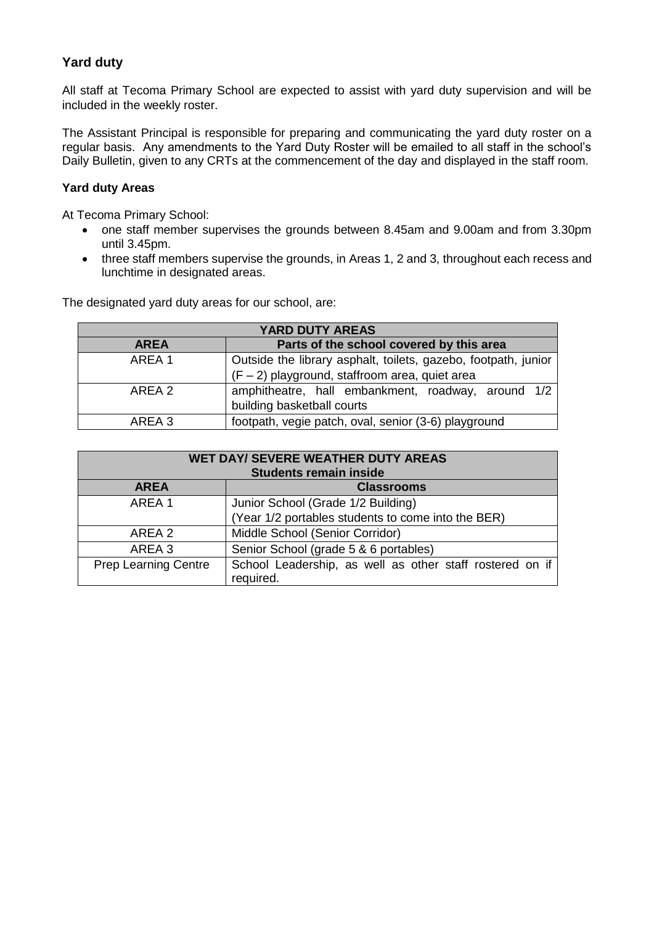## **Yard duty**

All staff at Tecoma Primary School are expected to assist with yard duty supervision and will be included in the weekly roster.

The Assistant Principal is responsible for preparing and communicating the yard duty roster on a regular basis. Any amendments to the Yard Duty Roster will be emailed to all staff in the school's Daily Bulletin, given to any CRTs at the commencement of the day and displayed in the staff room.

#### **Yard duty Areas**

At Tecoma Primary School:

- one staff member supervises the grounds between 8.45am and 9.00am and from 3.30pm until 3.45pm.
- three staff members supervise the grounds, in Areas 1, 2 and 3, throughout each recess and lunchtime in designated areas.

The designated yard duty areas for our school, are:

| YARD DUTY AREAS   |                                                                                                                    |
|-------------------|--------------------------------------------------------------------------------------------------------------------|
| <b>AREA</b>       | Parts of the school covered by this area                                                                           |
| AREA 1            | Outside the library asphalt, toilets, gazebo, footpath, junior<br>$(F - 2)$ playground, staffroom area, quiet area |
| ARFA <sub>2</sub> | amphitheatre, hall embankment, roadway, around 1/2<br>building basketball courts                                   |
| AREA 3            | footpath, vegie patch, oval, senior (3-6) playground                                                               |

| <b>WET DAY/ SEVERE WEATHER DUTY AREAS</b><br><b>Students remain inside</b> |                                                                       |
|----------------------------------------------------------------------------|-----------------------------------------------------------------------|
| <b>AREA</b>                                                                | <b>Classrooms</b>                                                     |
| AREA 1                                                                     | Junior School (Grade 1/2 Building)                                    |
|                                                                            | (Year 1/2 portables students to come into the BER)                    |
| AREA 2                                                                     | Middle School (Senior Corridor)                                       |
| AREA 3                                                                     | Senior School (grade 5 & 6 portables)                                 |
| <b>Prep Learning Centre</b>                                                | School Leadership, as well as other staff rostered on if<br>required. |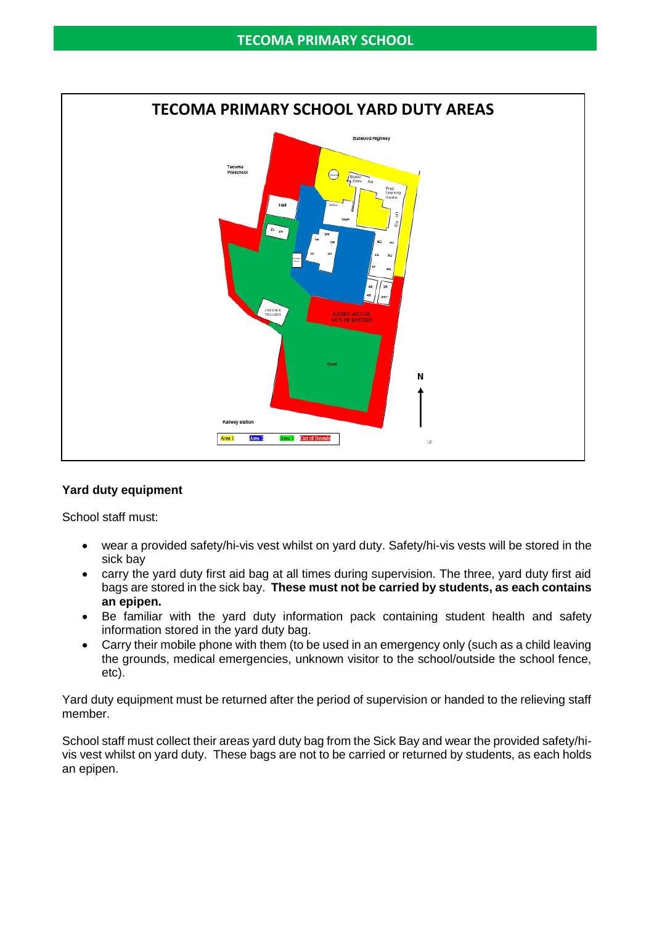

#### **Yard duty equipment**

School staff must:

- wear a provided safety/hi-vis vest whilst on yard duty. Safety/hi-vis vests will be stored in the sick bay
- carry the yard duty first aid bag at all times during supervision. The three, yard duty first aid bags are stored in the sick bay. **These must not be carried by students, as each contains an epipen.**
- Be familiar with the yard duty information pack containing student health and safety information stored in the yard duty bag.
- Carry their mobile phone with them (to be used in an emergency only (such as a child leaving the grounds, medical emergencies, unknown visitor to the school/outside the school fence, etc).

Yard duty equipment must be returned after the period of supervision or handed to the relieving staff member.

School staff must collect their areas yard duty bag from the Sick Bay and wear the provided safety/hivis vest whilst on yard duty. These bags are not to be carried or returned by students, as each holds an epipen.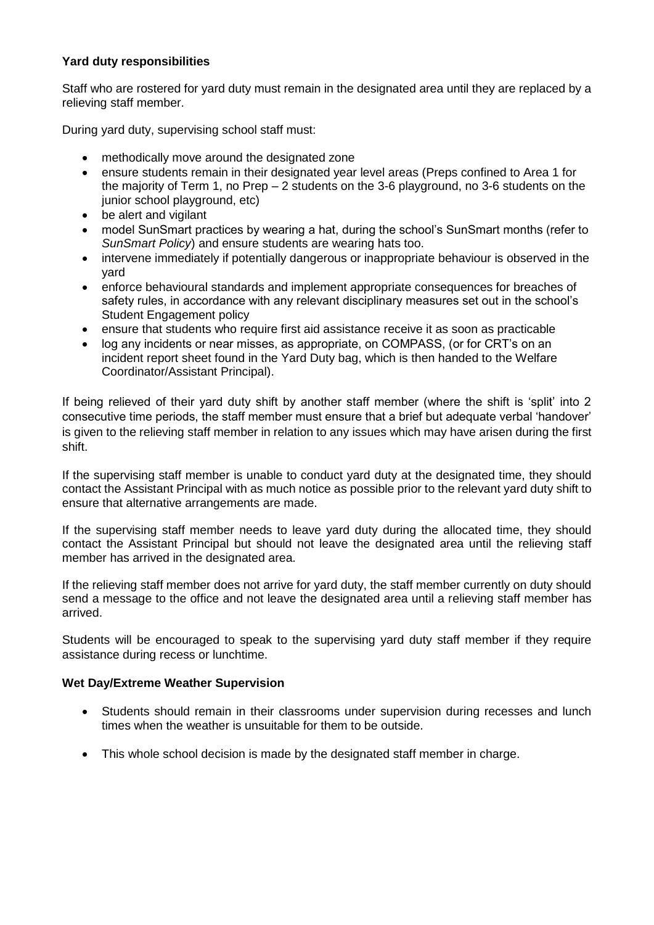## **Yard duty responsibilities**

Staff who are rostered for yard duty must remain in the designated area until they are replaced by a relieving staff member.

During yard duty, supervising school staff must:

- methodically move around the designated zone
- ensure students remain in their designated year level areas (Preps confined to Area 1 for the majority of Term 1, no Prep – 2 students on the 3-6 playground, no 3-6 students on the junior school playground, etc)
- be alert and vigilant
- model SunSmart practices by wearing a hat, during the school's SunSmart months (refer to *SunSmart Policy*) and ensure students are wearing hats too.
- intervene immediately if potentially dangerous or inappropriate behaviour is observed in the yard
- enforce behavioural standards and implement appropriate consequences for breaches of safety rules, in accordance with any relevant disciplinary measures set out in the school's Student Engagement policy
- ensure that students who require first aid assistance receive it as soon as practicable
- log any incidents or near misses, as appropriate, on COMPASS, (or for CRT's on an incident report sheet found in the Yard Duty bag, which is then handed to the Welfare Coordinator/Assistant Principal).

If being relieved of their yard duty shift by another staff member (where the shift is 'split' into 2 consecutive time periods, the staff member must ensure that a brief but adequate verbal 'handover' is given to the relieving staff member in relation to any issues which may have arisen during the first shift.

If the supervising staff member is unable to conduct yard duty at the designated time, they should contact the Assistant Principal with as much notice as possible prior to the relevant yard duty shift to ensure that alternative arrangements are made.

If the supervising staff member needs to leave yard duty during the allocated time, they should contact the Assistant Principal but should not leave the designated area until the relieving staff member has arrived in the designated area.

If the relieving staff member does not arrive for yard duty, the staff member currently on duty should send a message to the office and not leave the designated area until a relieving staff member has arrived.

Students will be encouraged to speak to the supervising yard duty staff member if they require assistance during recess or lunchtime.

#### **Wet Day/Extreme Weather Supervision**

- Students should remain in their classrooms under supervision during recesses and lunch times when the weather is unsuitable for them to be outside.
- This whole school decision is made by the designated staff member in charge.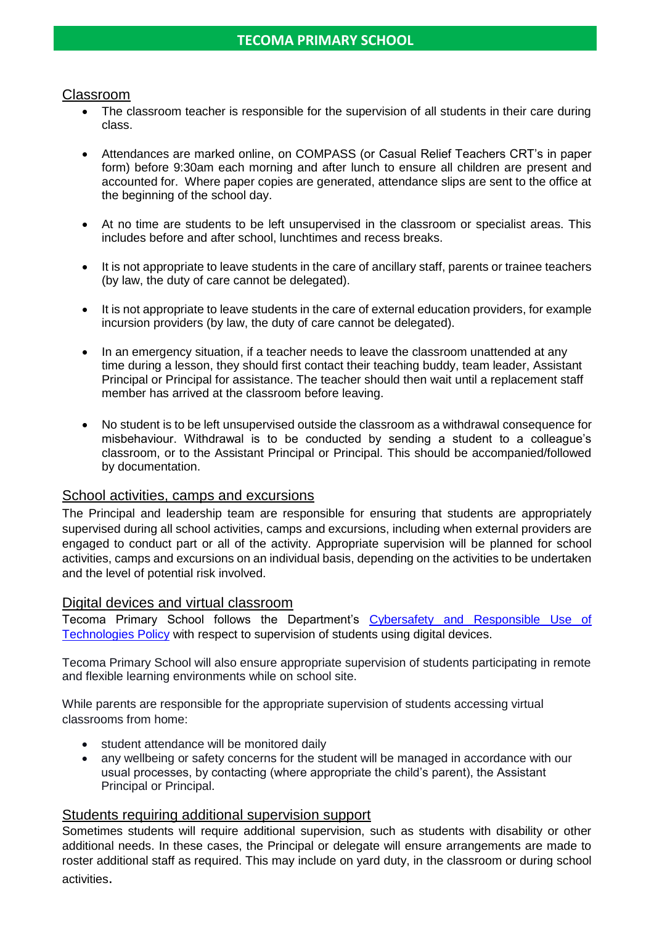## Classroom

- The classroom teacher is responsible for the supervision of all students in their care during class.
- Attendances are marked online, on COMPASS (or Casual Relief Teachers CRT's in paper form) before 9:30am each morning and after lunch to ensure all children are present and accounted for. Where paper copies are generated, attendance slips are sent to the office at the beginning of the school day.
- At no time are students to be left unsupervised in the classroom or specialist areas. This includes before and after school, lunchtimes and recess breaks.
- It is not appropriate to leave students in the care of ancillary staff, parents or trainee teachers (by law, the duty of care cannot be delegated).
- It is not appropriate to leave students in the care of external education providers, for example incursion providers (by law, the duty of care cannot be delegated).
- In an emergency situation, if a teacher needs to leave the classroom unattended at any time during a lesson, they should first contact their teaching buddy, team leader, Assistant Principal or Principal for assistance. The teacher should then wait until a replacement staff member has arrived at the classroom before leaving.
- No student is to be left unsupervised outside the classroom as a withdrawal consequence for misbehaviour. Withdrawal is to be conducted by sending a student to a colleague's classroom, or to the Assistant Principal or Principal. This should be accompanied/followed by documentation.

## School activities, camps and excursions

The Principal and leadership team are responsible for ensuring that students are appropriately supervised during all school activities, camps and excursions, including when external providers are engaged to conduct part or all of the activity. Appropriate supervision will be planned for school activities, camps and excursions on an individual basis, depending on the activities to be undertaken and the level of potential risk involved.

#### Digital devices and virtual classroom

Tecoma Primary School follows the Department's [Cybersafety and Responsible Use of](https://www2.education.vic.gov.au/pal/cybersafety/policy)  [Technologies Policy](https://www2.education.vic.gov.au/pal/cybersafety/policy) with respect to supervision of students using digital devices.

Tecoma Primary School will also ensure appropriate supervision of students participating in remote and flexible learning environments while on school site.

While parents are responsible for the appropriate supervision of students accessing virtual classrooms from home:

- student attendance will be monitored daily
- any wellbeing or safety concerns for the student will be managed in accordance with our usual processes, by contacting (where appropriate the child's parent), the Assistant Principal or Principal.

#### Students requiring additional supervision support

Sometimes students will require additional supervision, such as students with disability or other additional needs. In these cases, the Principal or delegate will ensure arrangements are made to roster additional staff as required. This may include on yard duty, in the classroom or during school activities.